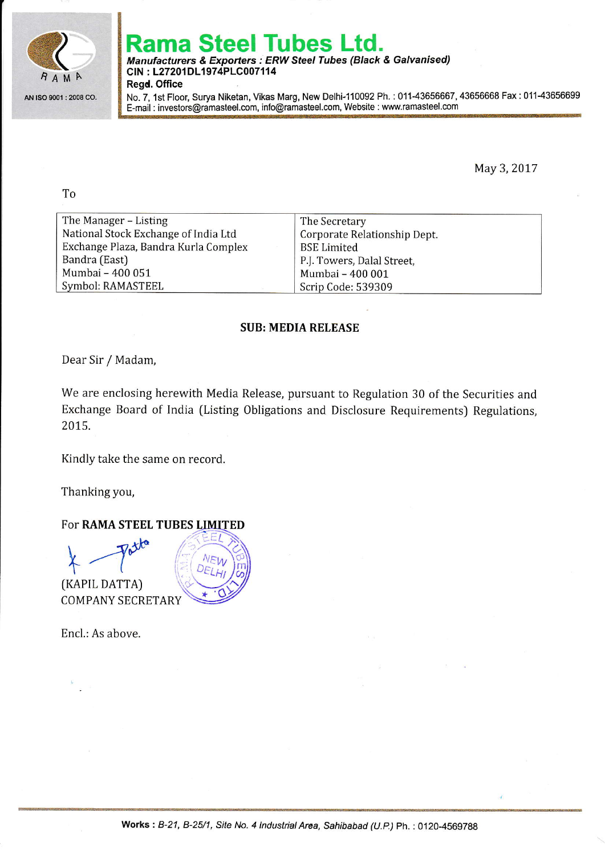

# Steel Tubes Ltd.

Manufacturers & Exporters : ERW Steel Tubes (Black & Galvanised) CIN: L27201DL1974PLC007114

Regd. Office

No.7, 1st Floor, Surya Niketan, Vikas Marg, New Delhi-110092 Ph. : 01143656667, 43656668 Fax:01143656699 E-mail : investors@ramasteel.com, info@ramasteel.com, Website : www.ramasteel.com

May 3,2017

To

| The Manager – Listing                | The Secretary                |
|--------------------------------------|------------------------------|
| National Stock Exchange of India Ltd | Corporate Relationship Dept. |
| Exchange Plaza, Bandra Kurla Complex | <b>BSE Limited</b>           |
| Bandra (East)                        | P.J. Towers, Dalal Street,   |
| Mumbai - 400 051                     | Mumbai - 400 001             |
| Symbol: RAMASTEEL                    | Scrip Code: 539309           |

## SUB: MEDIA RELEASE

Dear Sir / Madam,

We are enclosing herewith Media Release, pursuant to Regulation 30 of the Securities and Exchange Board of India (Listing Obligations and Disclosure Requirements) Regulations, 2015.

Kindly take the same on record.

Thanking you,

## FOT RAMA STEEL TUBES LIMITED



(KAPIL DATTA) COMPANY SECRETARY

Encl.: As above.

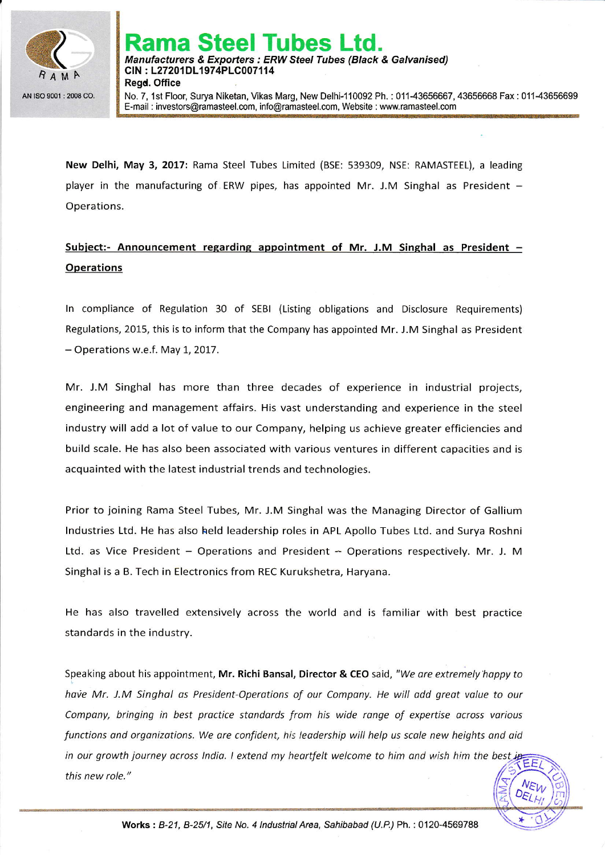

No. 7, 1st Floor, Surya Niketan, Vikas Marg, New Delhi-110092 Ph. : 011-43656667, 43656668 Fax : 011-43656699 E-mail : investors@ramasteel.com, info@ramasteel.com, Website : wwwramasteel.com

New Delhi, May 3, 2017: Rama Steel Tubes Limited (BSE: 539309, NSE: RAMASTEEL), a leading player in the manufacturing of ERW pipes, has appointed Mr. J.M Singhal as President  $-$ Operations.

# Subject:- Announcement regarding appointment of Mr. J.M Singhal as President -**Operations**

ln compliance of Regulation 30 of SEBI (Listing obligations and Disclosure Requirements) Regulations, 2015, this is to inform that the Company has appointed Mr. J.M Singhal as President - Operations w.e.f. May 1, 2017.

Mr. J.M Singhal has more than three decades of experience in industrial projects, engineering and management affairs. His vast understanding and experience in the steel industry will add a lot of value to our Company, helping us achieve greater efficiencies and build scale. He has also been associated with various ventures in different capacities and is acquainted with the latest industrial trends and technologies.

Prior to joining Rama Steel Tubes, Mr. J.M Singhal was the Managing Director of Gallium lndustries Ltd. He has also held leadership roles in APL Apollo Tubes Ltd. and Surya Roshni Ltd. as Vice President  $-$  Operations and President  $-$  Operations respectively. Mr. J. M Singhal is a B. Tech in Electronics from REC Kurukshetra, Haryana.

He has also travelled extensively across the world and is familiar with best practice standards in the industry.

Speaking about his appointment, Mr. Richi Bansal, Director & CEO said, "We are extremely happy to have Mr. J.M Singhal as President-Operations of our Company. He will add great value to our Company, bringing in best practice standards from his wide range of expertise across various functions and organizations. We are confident, his leadership will help us scale new heights and aid in our growth journey across India. I extend my heartfelt welcome to him and wish him the best in ĒΕ this new role."VEW

DELK